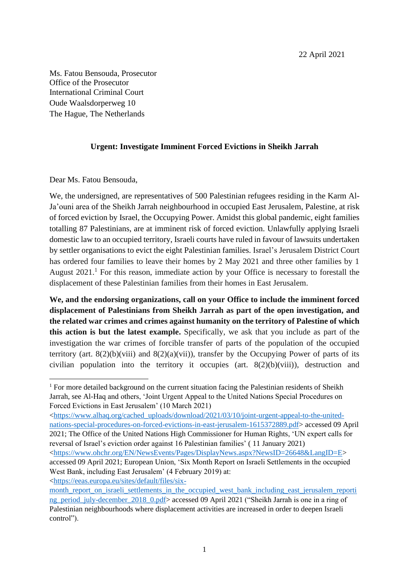Ms. Fatou Bensouda, Prosecutor Office of the Prosecutor International Criminal Court Oude Waalsdorperweg 10 The Hague, The Netherlands

## **Urgent: Investigate Imminent Forced Evictions in Sheikh Jarrah**

Dear Ms. Fatou Bensouda,

We, the undersigned, are representatives of 500 Palestinian refugees residing in the Karm Al-Ja'ouni area of the Sheikh Jarrah neighbourhood in occupied East Jerusalem, Palestine, at risk of forced eviction by Israel, the Occupying Power. Amidst this global pandemic, eight families totalling 87 Palestinians, are at imminent risk of forced eviction. Unlawfully applying Israeli domestic law to an occupied territory, Israeli courts have ruled in favour of lawsuits undertaken by settler organisations to evict the eight Palestinian families. Israel's Jerusalem District Court has ordered four families to leave their homes by 2 May 2021 and three other families by 1 August  $2021<sup>1</sup>$  For this reason, immediate action by your Office is necessary to forestall the displacement of these Palestinian families from their homes in East Jerusalem.

**We, and the endorsing organizations, call on your Office to include the imminent forced displacement of Palestinians from Sheikh Jarrah as part of the open investigation, and the related war crimes and crimes against humanity on the territory of Palestine of which this action is but the latest example.** Specifically, we ask that you include as part of the investigation the war crimes of forcible transfer of parts of the population of the occupied territory (art.  $8(2)(b)(viii)$  and  $8(2)(a)(vii)$ ), transfer by the Occupying Power of parts of its civilian population into the territory it occupies (art. 8(2)(b)(viii)), destruction and

[<https://www.alhaq.org/cached\\_uploads/download/2021/03/10/joint-urgent-appeal-to-the-united](https://www.alhaq.org/cached_uploads/download/2021/03/10/joint-urgent-appeal-to-the-united-nations-special-procedures-on-forced-evictions-in-east-jerusalem-1615372889.pdf)[nations-special-procedures-on-forced-evictions-in-east-jerusalem-1615372889.pdf>](https://www.alhaq.org/cached_uploads/download/2021/03/10/joint-urgent-appeal-to-the-united-nations-special-procedures-on-forced-evictions-in-east-jerusalem-1615372889.pdf) accessed 09 April 2021; The Office of the United Nations High Commissioner for Human Rights, 'UN expert calls for reversal of Israel's eviction order against 16 Palestinian families' ( 11 January 2021) [<https://www.ohchr.org/EN/NewsEvents/Pages/DisplayNews.aspx?NewsID=26648&LangID=E>](https://www.ohchr.org/EN/NewsEvents/Pages/DisplayNews.aspx?NewsID=26648&LangID=E) accessed 09 April 2021; European Union, 'Six Month Report on Israeli Settlements in the occupied

<sup>&</sup>lt;sup>1</sup> For more detailed background on the current situation facing the Palestinian residents of Sheikh Jarrah, see Al-Haq and others, 'Joint Urgent Appeal to the United Nations Special Procedures on Forced Evictions in East Jerusalem' (10 March 2021)

West Bank, including East Jerusalem' (4 February 2019) at: [<https://eeas.europa.eu/sites/default/files/six-](https://eeas.europa.eu/sites/default/files/six-month_report_on_israeli_settlements_in_the_occupied_west_bank_including_east_jerusalem_reporting_period_july-december_2018_0.pdf)

month report on israeli settlements in the occupied west bank including east jerusalem reporti ng period july-december 2018 0.pdf> accessed 09 April 2021 ("Sheikh Jarrah is one in a ring of Palestinian neighbourhoods where displacement activities are increased in order to deepen Israeli control").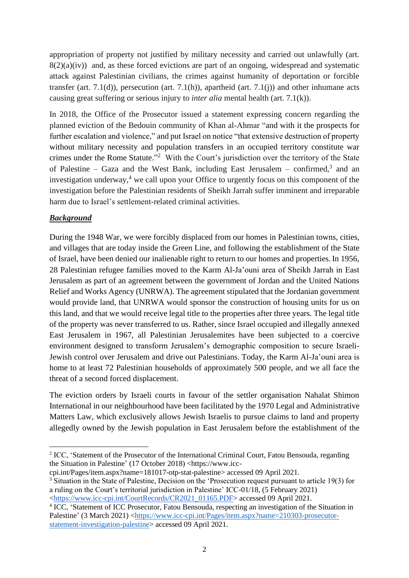appropriation of property not justified by military necessity and carried out unlawfully (art.  $8(2)(a)(iv)$  and, as these forced evictions are part of an ongoing, widespread and systematic attack against Palestinian civilians, the crimes against humanity of deportation or forcible transfer (art. 7.1(d)), persecution (art. 7.1(h)), apartheid (art. 7.1(j)) and other inhumane acts causing great suffering or serious injury to *inter alia* mental health (art. 7.1(k)).

In 2018, the Office of the Prosecutor issued a statement expressing concern regarding the planned eviction of the Bedouin community of Khan al-Ahmar "and with it the prospects for further escalation and violence," and put Israel on notice "that extensive destruction of property without military necessity and population transfers in an occupied territory constitute war crimes under the Rome Statute."<sup>2</sup> With the Court's jurisdiction over the territory of the State of Palestine – Gaza and the West Bank, including East Jerusalem – confirmed,<sup>3</sup> and an investigation underway, $4 \le$  we call upon your Office to urgently focus on this component of the investigation before the Palestinian residents of Sheikh Jarrah suffer imminent and irreparable harm due to Israel's settlement-related criminal activities.

## *Background*

During the 1948 War, we were forcibly displaced from our homes in Palestinian towns, cities, and villages that are today inside the Green Line, and following the establishment of the State of Israel, have been denied our inalienable right to return to our homes and properties.In 1956, 28 Palestinian refugee families moved to the Karm Al-Ja'ouni area of Sheikh Jarrah in East Jerusalem as part of an agreement between the government of Jordan and the United Nations Relief and Works Agency (UNRWA). The agreement stipulated that the Jordanian government would provide land, that UNRWA would sponsor the construction of housing units for us on this land, and that we would receive legal title to the properties after three years. The legal title of the property was never transferred to us. Rather, since Israel occupied and illegally annexed East Jerusalem in 1967, all Palestinian Jerusalemites have been subjected to a coercive environment designed to transform Jerusalem's demographic composition to secure Israeli-Jewish control over Jerusalem and drive out Palestinians. Today, the Karm Al-Ja'ouni area is home to at least 72 Palestinian households of approximately 500 people, and we all face the threat of a second forced displacement.

The eviction orders by Israeli courts in favour of the settler organisation Nahalat Shimon International in our neighbourhood have been facilitated by the 1970 Legal and Administrative Matters Law, which exclusively allows Jewish Israelis to pursue claims to land and property allegedly owned by the Jewish population in East Jerusalem before the establishment of the

cpi.int/Pages/item.aspx?name=181017-otp-stat-palestine> accessed 09 April 2021. <sup>3</sup> Situation in the State of Palestine, Decision on the 'Prosecution request pursuant to article 19(3) for a ruling on the Court's territorial jurisdiction in Palestine' ICC-01/18, (5 February 2021) [<https://www.icc-cpi.int/CourtRecords/CR2021\\_01165.PDF>](https://www.icc-cpi.int/CourtRecords/CR2021_01165.PDF) accessed 09 April 2021.

<sup>&</sup>lt;sup>2</sup> ICC, 'Statement of the Prosecutor of the International Criminal Court, Fatou Bensouda, regarding the Situation in Palestine' (17 October 2018) <https://www.icc-

<sup>&</sup>lt;sup>4</sup> ICC, 'Statement of ICC Prosecutor, Fatou Bensouda, respecting an investigation of the Situation in Palestine' (3 March 2021) [<https://www.icc-cpi.int/Pages/item.aspx?name=210303-prosecutor](https://www.icc-cpi.int/Pages/item.aspx?name=210303-prosecutor-statement-investigation-palestine)[statement-investigation-palestine>](https://www.icc-cpi.int/Pages/item.aspx?name=210303-prosecutor-statement-investigation-palestine) accessed 09 April 2021.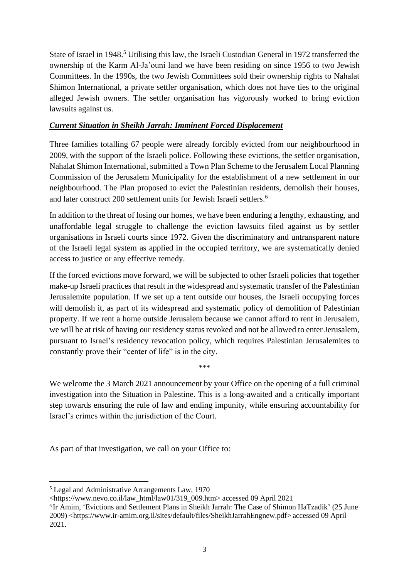State of Israel in 1948.<sup>5</sup> Utilising this law, the Israeli Custodian General in 1972 transferred the ownership of the Karm Al-Ja'ouni land we have been residing on since 1956 to two Jewish Committees. In the 1990s, the two Jewish Committees sold their ownership rights to Nahalat Shimon International, a private settler organisation, which does not have ties to the original alleged Jewish owners. The settler organisation has vigorously worked to bring eviction lawsuits against us.

## *Current Situation in Sheikh Jarrah: Imminent Forced Displacement*

Three families totalling 67 people were already forcibly evicted from our neighbourhood in 2009, with the support of the Israeli police. Following these evictions, the settler organisation, Nahalat Shimon International, submitted a Town Plan Scheme to the Jerusalem Local Planning Commission of the Jerusalem Municipality for the establishment of a new settlement in our neighbourhood. The Plan proposed to evict the Palestinian residents, demolish their houses, and later construct 200 settlement units for Jewish Israeli settlers.<sup>6</sup>

In addition to the threat of losing our homes, we have been enduring a lengthy, exhausting, and unaffordable legal struggle to challenge the eviction lawsuits filed against us by settler organisations in Israeli courts since 1972. Given the discriminatory and untransparent nature of the Israeli legal system as applied in the occupied territory, we are systematically denied access to justice or any effective remedy.

If the forced evictions move forward, we will be subjected to other Israeli policies that together make-up Israeli practices that result in the widespread and systematic transfer of the Palestinian Jerusalemite population. If we set up a tent outside our houses, the Israeli occupying forces will demolish it, as part of its widespread and systematic policy of demolition of Palestinian property. If we rent a home outside Jerusalem because we cannot afford to rent in Jerusalem, we will be at risk of having our residency status revoked and not be allowed to enter Jerusalem, pursuant to Israel's residency revocation policy, which requires Palestinian Jerusalemites to constantly prove their "center of life" is in the city.

We welcome the 3 March 2021 announcement by your Office on the opening of a full criminal investigation into the Situation in Palestine. This is a long-awaited and a critically important step towards ensuring the rule of law and ending impunity, while ensuring accountability for Israel's crimes within the jurisdiction of the Court.

\*\*\*

As part of that investigation, we call on your Office to:

<sup>5</sup> Legal and Administrative Arrangements Law, 1970

<sup>&</sup>lt;https://www.nevo.co.il/law\_html/law01/319\_009.htm> accessed 09 April 2021

<sup>6</sup> Ir Amim, 'Evictions and Settlement Plans in Sheikh Jarrah: The Case of Shimon HaTzadik' (25 June 2009) <https://www.ir-amim.org.il/sites/default/files/SheikhJarrahEngnew.pdf> accessed 09 April 2021.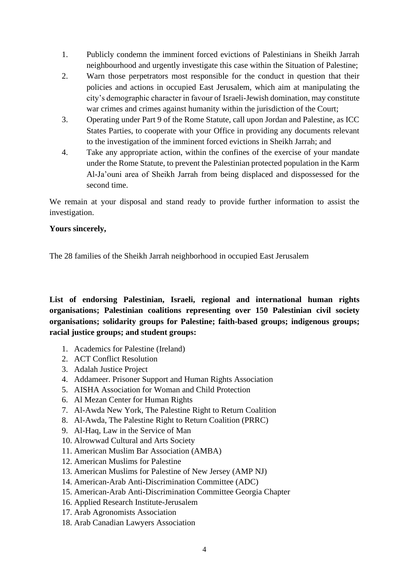- 1. Publicly condemn the imminent forced evictions of Palestinians in Sheikh Jarrah neighbourhood and urgently investigate this case within the Situation of Palestine;
- 2. Warn those perpetrators most responsible for the conduct in question that their policies and actions in occupied East Jerusalem, which aim at manipulating the city's demographic character in favour of Israeli-Jewish domination, may constitute war crimes and crimes against humanity within the jurisdiction of the Court;
- 3. Operating under Part 9 of the Rome Statute, call upon Jordan and Palestine, as ICC States Parties, to cooperate with your Office in providing any documents relevant to the investigation of the imminent forced evictions in Sheikh Jarrah; and
- 4. Take any appropriate action, within the confines of the exercise of your mandate under the Rome Statute, to prevent the Palestinian protected population in the Karm Al-Ja'ouni area of Sheikh Jarrah from being displaced and dispossessed for the second time.

We remain at your disposal and stand ready to provide further information to assist the investigation.

## **Yours sincerely,**

The 28 families of the Sheikh Jarrah neighborhood in occupied East Jerusalem

**List of endorsing Palestinian, Israeli, regional and international human rights organisations; Palestinian coalitions representing over 150 Palestinian civil society organisations; solidarity groups for Palestine; faith-based groups; indigenous groups; racial justice groups; and student groups:** 

- 1. Academics for Palestine (Ireland)
- 2. ACT Conflict Resolution
- 3. Adalah Justice Project
- 4. Addameer. Prisoner Support and Human Rights Association
- 5. AISHA Association for Woman and Child Protection
- 6. Al Mezan Center for Human Rights
- 7. Al-Awda New York, The Palestine Right to Return Coalition
- 8. Al-Awda, The Palestine Right to Return Coalition (PRRC)
- 9. Al-Haq, Law in the Service of Man
- 10. Alrowwad Cultural and Arts Society
- 11. American Muslim Bar Association (AMBA)
- 12. American Muslims for Palestine
- 13. American Muslims for Palestine of New Jersey (AMP NJ)
- 14. American-Arab Anti-Discrimination Committee (ADC)
- 15. American-Arab Anti-Discrimination Committee Georgia Chapter
- 16. Applied Research Institute-Jerusalem
- 17. Arab Agronomists Association
- 18. Arab Canadian Lawyers Association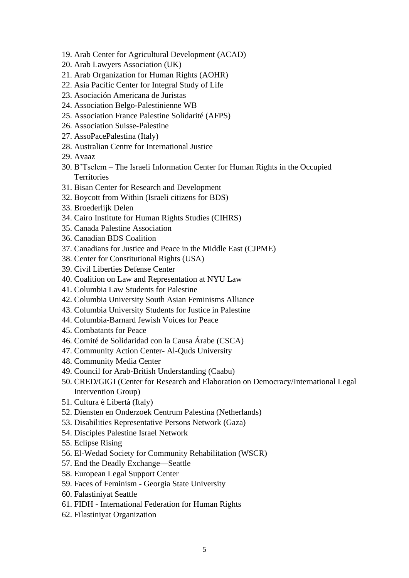- 19. Arab Center for Agricultural Development (ACAD)
- 20. Arab Lawyers Association (UK)
- 21. Arab Organization for Human Rights (AOHR)
- 22. Asia Pacific Center for Integral Study of Life
- 23. Asociación Americana de Juristas
- 24. Association Belgo-Palestinienne WB
- 25. Association France Palestine Solidarité (AFPS)
- 26. Association Suisse-Palestine
- 27. AssoPacePalestina (Italy)
- 28. Australian Centre for International Justice
- 29. Avaaz
- 30. B'Tselem The Israeli Information Center for Human Rights in the Occupied **Territories**
- 31. Bisan Center for Research and Development
- 32. Boycott from Within (Israeli citizens for BDS)
- 33. Broederlijk Delen
- 34. Cairo Institute for Human Rights Studies (CIHRS)
- 35. Canada Palestine Association
- 36. Canadian BDS Coalition
- 37. Canadians for Justice and Peace in the Middle East (CJPME)
- 38. Center for Constitutional Rights (USA)
- 39. Civil Liberties Defense Center
- 40. Coalition on Law and Representation at NYU Law
- 41. Columbia Law Students for Palestine
- 42. Columbia University South Asian Feminisms Alliance
- 43. Columbia University Students for Justice in Palestine
- 44. Columbia-Barnard Jewish Voices for Peace
- 45. Combatants for Peace
- 46. Comité de Solidaridad con la Causa Árabe (CSCA)
- 47. Community Action Center- Al-Quds University
- 48. Community Media Center
- 49. Council for Arab-British Understanding (Caabu)
- 50. CRED/GIGI (Center for Research and Elaboration on Democracy/International Legal Intervention Group)
- 51. Cultura è Libertà (Italy)
- 52. Diensten en Onderzoek Centrum Palestina (Netherlands)
- 53. Disabilities Representative Persons Network (Gaza)
- 54. Disciples Palestine Israel Network
- 55. Eclipse Rising
- 56. El-Wedad Society for Community Rehabilitation (WSCR)
- 57. End the Deadly Exchange—Seattle
- 58. European Legal Support Center
- 59. Faces of Feminism Georgia State University
- 60. Falastiniyat Seattle
- 61. FIDH International Federation for Human Rights
- 62. Filastiniyat Organization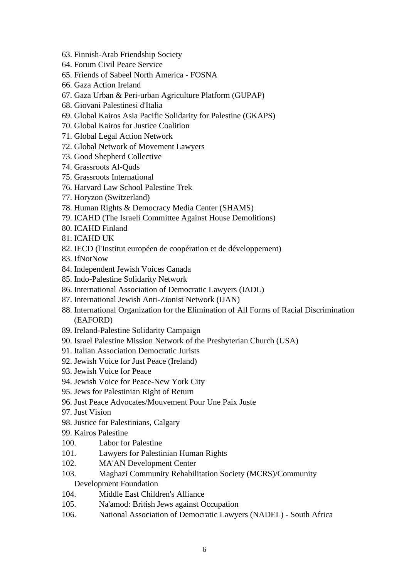- 63. Finnish-Arab Friendship Society
- 64. Forum Civil Peace Service
- 65. Friends of Sabeel North America FOSNA
- 66. Gaza Action Ireland
- 67. Gaza Urban & Peri-urban Agriculture Platform (GUPAP)
- 68. Giovani Palestinesi d'Italia
- 69. Global Kairos Asia Pacific Solidarity for Palestine (GKAPS)
- 70. Global Kairos for Justice Coalition
- 71. Global Legal Action Network
- 72. Global Network of Movement Lawyers
- 73. Good Shepherd Collective
- 74. Grassroots Al-Quds
- 75. Grassroots International
- 76. Harvard Law School Palestine Trek
- 77. Horyzon (Switzerland)
- 78. Human Rights & Democracy Media Center (SHAMS)
- 79. ICAHD (The Israeli Committee Against House Demolitions)
- 80. ICAHD Finland
- 81. ICAHD UK
- 82. IECD (l'Institut européen de coopération et de développement)
- 83. IfNotNow
- 84. Independent Jewish Voices Canada
- 85. Indo-Palestine Solidarity Network
- 86. International Association of Democratic Lawyers (IADL)
- 87. International Jewish Anti-Zionist Network (IJAN)
- 88. International Organization for the Elimination of All Forms of Racial Discrimination (EAFORD)
- 89. Ireland-Palestine Solidarity Campaign
- 90. Israel Palestine Mission Network of the Presbyterian Church (USA)
- 91. Italian Association Democratic Jurists
- 92. Jewish Voice for Just Peace (Ireland)
- 93. Jewish Voice for Peace
- 94. Jewish Voice for Peace-New York City
- 95. Jews for Palestinian Right of Return
- 96. Just Peace Advocates/Mouvement Pour Une Paix Juste
- 97. Just Vision
- 98. Justice for Palestinians, Calgary
- 99. Kairos Palestine
- 100. Labor for Palestine
- 101. Lawyers for Palestinian Human Rights
- 102. MA'AN Development Center
- 103. Maghazi Community Rehabilitation Society (MCRS)/Community Development Foundation
- 104. Middle East Children's Alliance
- 105. Na'amod: British Jews against Occupation
- 106. National Association of Democratic Lawyers (NADEL) South Africa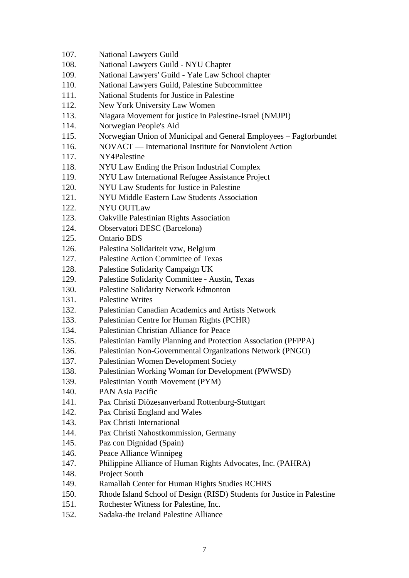- 107. National Lawyers Guild
- 108. National Lawyers Guild NYU Chapter
- 109. National Lawyers' Guild Yale Law School chapter
- 110. National Lawyers Guild, Palestine Subcommittee
- 111. National Students for Justice in Palestine
- 112. New York University Law Women
- 113. Niagara Movement for justice in Palestine-Israel (NMJPI)
- 114. Norwegian People's Aid
- 115. Norwegian Union of Municipal and General Employees Fagforbundet
- 116. NOVACT International Institute for Nonviolent Action
- 117. NY4Palestine
- 118. NYU Law Ending the Prison Industrial Complex
- 119. NYU Law International Refugee Assistance Project
- 120. NYU Law Students for Justice in Palestine
- 121. NYU Middle Eastern Law Students Association
- 122. NYU OUTLaw
- 123. Oakville Palestinian Rights Association
- 124. Observatori DESC (Barcelona)
- 125. Ontario BDS
- 126. Palestina Solidariteit vzw, Belgium
- 127. Palestine Action Committee of Texas
- 128. Palestine Solidarity Campaign UK
- 129. Palestine Solidarity Committee Austin, Texas
- 130. Palestine Solidarity Network Edmonton
- 131. Palestine Writes
- 132. Palestinian Canadian Academics and Artists Network
- 133. Palestinian Centre for Human Rights (PCHR)
- 134. Palestinian Christian Alliance for Peace
- 135. Palestinian Family Planning and Protection Association (PFPPA)
- 136. Palestinian Non-Governmental Organizations Network (PNGO)
- 137. Palestinian Women Development Society
- 138. Palestinian Working Woman for Development (PWWSD)
- 139. Palestinian Youth Movement (PYM)
- 140. PAN Asia Pacific
- 141. Pax Christi Diözesanverband Rottenburg-Stuttgart
- 142. Pax Christi England and Wales
- 143. Pax Christi International
- 144. Pax Christi Nahostkommission, Germany
- 145. Paz con Dignidad (Spain)
- 146. Peace Alliance Winnipeg
- 147. Philippine Alliance of Human Rights Advocates, Inc. (PAHRA)
- 148. Project South
- 149. Ramallah Center for Human Rights Studies RCHRS
- 150. Rhode Island School of Design (RISD) Students for Justice in Palestine
- 151. Rochester Witness for Palestine, Inc.
- 152. Sadaka-the Ireland Palestine Alliance